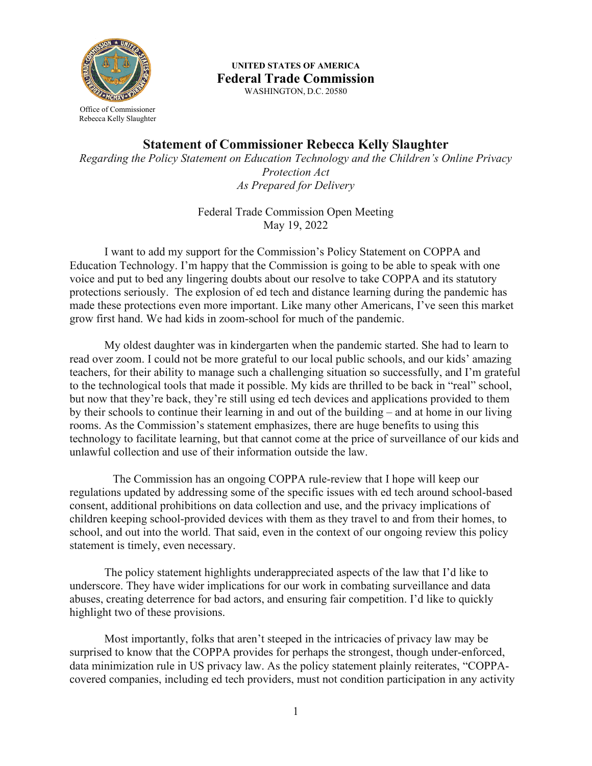

 WASHINGTON, D.C. 20580 **UNITED STATES OF AMERICA Federal Trade Commission** 

Office of Commissioner Rebecca Kelly Slaughter

**Statement of Commissioner Rebecca Kelly Slaughter** 

*Regarding the Policy Statement on Education Technology and the Children's Online Privacy Protection Act As Prepared for Delivery* 

> Federal Trade Commission Open Meeting May 19, 2022

grow first hand. We had kids in zoom-school for much of the pandemic. I want to add my support for the Commission's Policy Statement on COPPA and Education Technology. I'm happy that the Commission is going to be able to speak with one voice and put to bed any lingering doubts about our resolve to take COPPA and its statutory protections seriously. The explosion of ed tech and distance learning during the pandemic has made these protections even more important. Like many other Americans, I've seen this market

My oldest daughter was in kindergarten when the pandemic started. She had to learn to read over zoom. I could not be more grateful to our local public schools, and our kids' amazing teachers, for their ability to manage such a challenging situation so successfully, and I'm grateful to the technological tools that made it possible. My kids are thrilled to be back in "real" school, but now that they're back, they're still using ed tech devices and applications provided to them by their schools to continue their learning in and out of the building – and at home in our living rooms. As the Commission's statement emphasizes, there are huge benefits to using this technology to facilitate learning, but that cannot come at the price of surveillance of our kids and unlawful collection and use of their information outside the law.

The Commission has an ongoing COPPA rule-review that I hope will keep our regulations updated by addressing some of the specific issues with ed tech around school-based consent, additional prohibitions on data collection and use, and the privacy implications of children keeping school-provided devices with them as they travel to and from their homes, to school, and out into the world. That said, even in the context of our ongoing review this policy statement is timely, even necessary.

The policy statement highlights underappreciated aspects of the law that I'd like to underscore. They have wider implications for our work in combating surveillance and data abuses, creating deterrence for bad actors, and ensuring fair competition. I'd like to quickly highlight two of these provisions.

 Most importantly, folks that aren't steeped in the intricacies of privacy law may be surprised to know that the COPPA provides for perhaps the strongest, though under-enforced, data minimization rule in US privacy law. As the policy statement plainly reiterates, "COPPAcovered companies, including ed tech providers, must not condition participation in any activity